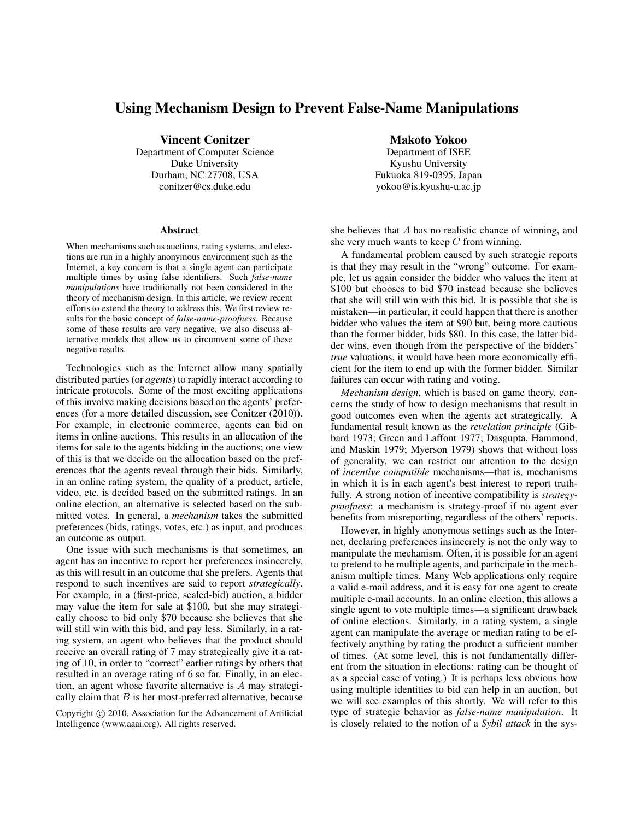# Using Mechanism Design to Prevent False-Name Manipulations

Vincent Conitzer

Department of Computer Science Duke University Durham, NC 27708, USA conitzer@cs.duke.edu

#### Abstract

When mechanisms such as auctions, rating systems, and elections are run in a highly anonymous environment such as the Internet, a key concern is that a single agent can participate multiple times by using false identifiers. Such *false-name manipulations* have traditionally not been considered in the theory of mechanism design. In this article, we review recent efforts to extend the theory to address this. We first review results for the basic concept of *false-name-proofness*. Because some of these results are very negative, we also discuss alternative models that allow us to circumvent some of these negative results.

Technologies such as the Internet allow many spatially distributed parties (or *agents*) to rapidly interact according to intricate protocols. Some of the most exciting applications of this involve making decisions based on the agents' preferences (for a more detailed discussion, see Conitzer (2010)). For example, in electronic commerce, agents can bid on items in online auctions. This results in an allocation of the items for sale to the agents bidding in the auctions; one view of this is that we decide on the allocation based on the preferences that the agents reveal through their bids. Similarly, in an online rating system, the quality of a product, article, video, etc. is decided based on the submitted ratings. In an online election, an alternative is selected based on the submitted votes. In general, a *mechanism* takes the submitted preferences (bids, ratings, votes, etc.) as input, and produces an outcome as output.

One issue with such mechanisms is that sometimes, an agent has an incentive to report her preferences insincerely, as this will result in an outcome that she prefers. Agents that respond to such incentives are said to report *strategically*. For example, in a (first-price, sealed-bid) auction, a bidder may value the item for sale at \$100, but she may strategically choose to bid only \$70 because she believes that she will still win with this bid, and pay less. Similarly, in a rating system, an agent who believes that the product should receive an overall rating of 7 may strategically give it a rating of 10, in order to "correct" earlier ratings by others that resulted in an average rating of 6 so far. Finally, in an election, an agent whose favorite alternative is A may strategically claim that  $B$  is her most-preferred alternative, because

Makoto Yokoo Department of ISEE Kyushu University Fukuoka 819-0395, Japan yokoo@is.kyushu-u.ac.jp

she believes that A has no realistic chance of winning, and she very much wants to keep  $C$  from winning.

A fundamental problem caused by such strategic reports is that they may result in the "wrong" outcome. For example, let us again consider the bidder who values the item at \$100 but chooses to bid \$70 instead because she believes that she will still win with this bid. It is possible that she is mistaken—in particular, it could happen that there is another bidder who values the item at \$90 but, being more cautious than the former bidder, bids \$80. In this case, the latter bidder wins, even though from the perspective of the bidders' *true* valuations, it would have been more economically efficient for the item to end up with the former bidder. Similar failures can occur with rating and voting.

*Mechanism design*, which is based on game theory, concerns the study of how to design mechanisms that result in good outcomes even when the agents act strategically. A fundamental result known as the *revelation principle* (Gibbard 1973; Green and Laffont 1977; Dasgupta, Hammond, and Maskin 1979; Myerson 1979) shows that without loss of generality, we can restrict our attention to the design of *incentive compatible* mechanisms—that is, mechanisms in which it is in each agent's best interest to report truthfully. A strong notion of incentive compatibility is *strategyproofness*: a mechanism is strategy-proof if no agent ever benefits from misreporting, regardless of the others' reports.

However, in highly anonymous settings such as the Internet, declaring preferences insincerely is not the only way to manipulate the mechanism. Often, it is possible for an agent to pretend to be multiple agents, and participate in the mechanism multiple times. Many Web applications only require a valid e-mail address, and it is easy for one agent to create multiple e-mail accounts. In an online election, this allows a single agent to vote multiple times—a significant drawback of online elections. Similarly, in a rating system, a single agent can manipulate the average or median rating to be effectively anything by rating the product a sufficient number of times. (At some level, this is not fundamentally different from the situation in elections: rating can be thought of as a special case of voting.) It is perhaps less obvious how using multiple identities to bid can help in an auction, but we will see examples of this shortly. We will refer to this type of strategic behavior as *false-name manipulation*. It is closely related to the notion of a *Sybil attack* in the sys-

Copyright  $\odot$  2010, Association for the Advancement of Artificial Intelligence (www.aaai.org). All rights reserved.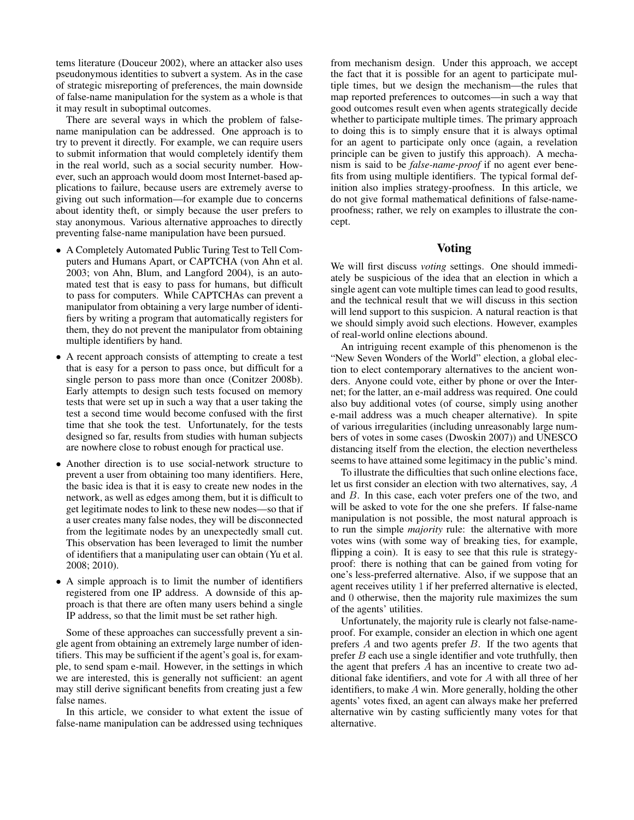tems literature (Douceur 2002), where an attacker also uses pseudonymous identities to subvert a system. As in the case of strategic misreporting of preferences, the main downside of false-name manipulation for the system as a whole is that it may result in suboptimal outcomes.

There are several ways in which the problem of falsename manipulation can be addressed. One approach is to try to prevent it directly. For example, we can require users to submit information that would completely identify them in the real world, such as a social security number. However, such an approach would doom most Internet-based applications to failure, because users are extremely averse to giving out such information—for example due to concerns about identity theft, or simply because the user prefers to stay anonymous. Various alternative approaches to directly preventing false-name manipulation have been pursued.

- A Completely Automated Public Turing Test to Tell Computers and Humans Apart, or CAPTCHA (von Ahn et al. 2003; von Ahn, Blum, and Langford 2004), is an automated test that is easy to pass for humans, but difficult to pass for computers. While CAPTCHAs can prevent a manipulator from obtaining a very large number of identifiers by writing a program that automatically registers for them, they do not prevent the manipulator from obtaining multiple identifiers by hand.
- A recent approach consists of attempting to create a test that is easy for a person to pass once, but difficult for a single person to pass more than once (Conitzer 2008b). Early attempts to design such tests focused on memory tests that were set up in such a way that a user taking the test a second time would become confused with the first time that she took the test. Unfortunately, for the tests designed so far, results from studies with human subjects are nowhere close to robust enough for practical use.
- Another direction is to use social-network structure to prevent a user from obtaining too many identifiers. Here, the basic idea is that it is easy to create new nodes in the network, as well as edges among them, but it is difficult to get legitimate nodes to link to these new nodes—so that if a user creates many false nodes, they will be disconnected from the legitimate nodes by an unexpectedly small cut. This observation has been leveraged to limit the number of identifiers that a manipulating user can obtain (Yu et al. 2008; 2010).
- A simple approach is to limit the number of identifiers registered from one IP address. A downside of this approach is that there are often many users behind a single IP address, so that the limit must be set rather high.

Some of these approaches can successfully prevent a single agent from obtaining an extremely large number of identifiers. This may be sufficient if the agent's goal is, for example, to send spam e-mail. However, in the settings in which we are interested, this is generally not sufficient: an agent may still derive significant benefits from creating just a few false names.

In this article, we consider to what extent the issue of false-name manipulation can be addressed using techniques

from mechanism design. Under this approach, we accept the fact that it is possible for an agent to participate multiple times, but we design the mechanism—the rules that map reported preferences to outcomes—in such a way that good outcomes result even when agents strategically decide whether to participate multiple times. The primary approach to doing this is to simply ensure that it is always optimal for an agent to participate only once (again, a revelation principle can be given to justify this approach). A mechanism is said to be *false-name-proof* if no agent ever benefits from using multiple identifiers. The typical formal definition also implies strategy-proofness. In this article, we do not give formal mathematical definitions of false-nameproofness; rather, we rely on examples to illustrate the concept.

### Voting

We will first discuss *voting* settings. One should immediately be suspicious of the idea that an election in which a single agent can vote multiple times can lead to good results, and the technical result that we will discuss in this section will lend support to this suspicion. A natural reaction is that we should simply avoid such elections. However, examples of real-world online elections abound.

An intriguing recent example of this phenomenon is the "New Seven Wonders of the World" election, a global election to elect contemporary alternatives to the ancient wonders. Anyone could vote, either by phone or over the Internet; for the latter, an e-mail address was required. One could also buy additional votes (of course, simply using another e-mail address was a much cheaper alternative). In spite of various irregularities (including unreasonably large numbers of votes in some cases (Dwoskin 2007)) and UNESCO distancing itself from the election, the election nevertheless seems to have attained some legitimacy in the public's mind.

To illustrate the difficulties that such online elections face, let us first consider an election with two alternatives, say, A and B. In this case, each voter prefers one of the two, and will be asked to vote for the one she prefers. If false-name manipulation is not possible, the most natural approach is to run the simple *majority* rule: the alternative with more votes wins (with some way of breaking ties, for example, flipping a coin). It is easy to see that this rule is strategyproof: there is nothing that can be gained from voting for one's less-preferred alternative. Also, if we suppose that an agent receives utility 1 if her preferred alternative is elected, and 0 otherwise, then the majority rule maximizes the sum of the agents' utilities.

Unfortunately, the majority rule is clearly not false-nameproof. For example, consider an election in which one agent prefers A and two agents prefer B. If the two agents that prefer  $B$  each use a single identifier and vote truthfully, then the agent that prefers A has an incentive to create two additional fake identifiers, and vote for A with all three of her identifiers, to make  $A$  win. More generally, holding the other agents' votes fixed, an agent can always make her preferred alternative win by casting sufficiently many votes for that alternative.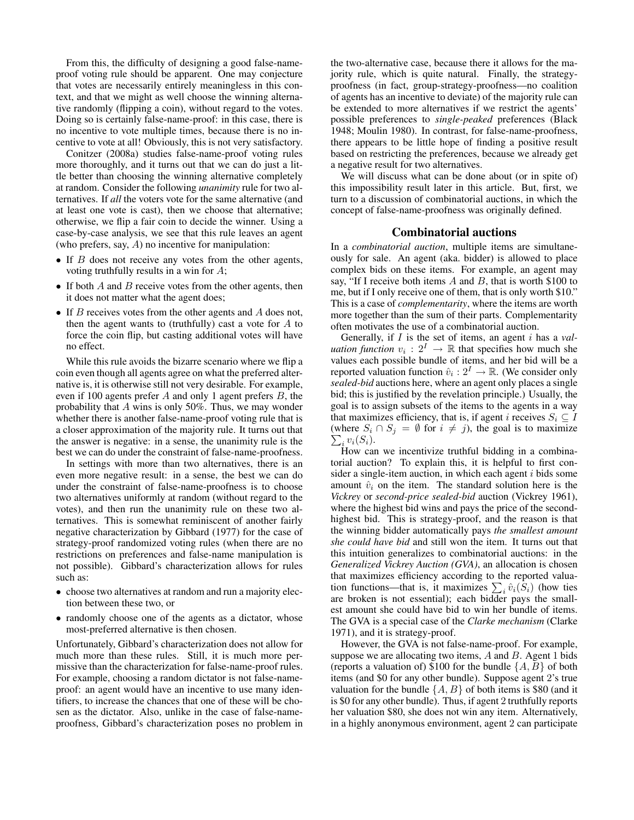From this, the difficulty of designing a good false-nameproof voting rule should be apparent. One may conjecture that votes are necessarily entirely meaningless in this context, and that we might as well choose the winning alternative randomly (flipping a coin), without regard to the votes. Doing so is certainly false-name-proof: in this case, there is no incentive to vote multiple times, because there is no incentive to vote at all! Obviously, this is not very satisfactory.

Conitzer (2008a) studies false-name-proof voting rules more thoroughly, and it turns out that we can do just a little better than choosing the winning alternative completely at random. Consider the following *unanimity* rule for two alternatives. If *all* the voters vote for the same alternative (and at least one vote is cast), then we choose that alternative; otherwise, we flip a fair coin to decide the winner. Using a case-by-case analysis, we see that this rule leaves an agent (who prefers, say, A) no incentive for manipulation:

- If  $B$  does not receive any votes from the other agents, voting truthfully results in a win for A;
- If both A and B receive votes from the other agents, then it does not matter what the agent does;
- If  $B$  receives votes from the other agents and  $A$  does not, then the agent wants to (truthfully) cast a vote for  $A$  to force the coin flip, but casting additional votes will have no effect.

While this rule avoids the bizarre scenario where we flip a coin even though all agents agree on what the preferred alternative is, it is otherwise still not very desirable. For example, even if 100 agents prefer A and only 1 agent prefers B, the probability that A wins is only 50%. Thus, we may wonder whether there is another false-name-proof voting rule that is a closer approximation of the majority rule. It turns out that the answer is negative: in a sense, the unanimity rule is the best we can do under the constraint of false-name-proofness.

In settings with more than two alternatives, there is an even more negative result: in a sense, the best we can do under the constraint of false-name-proofness is to choose two alternatives uniformly at random (without regard to the votes), and then run the unanimity rule on these two alternatives. This is somewhat reminiscent of another fairly negative characterization by Gibbard (1977) for the case of strategy-proof randomized voting rules (when there are no restrictions on preferences and false-name manipulation is not possible). Gibbard's characterization allows for rules such as:

- choose two alternatives at random and run a majority election between these two, or
- randomly choose one of the agents as a dictator, whose most-preferred alternative is then chosen.

Unfortunately, Gibbard's characterization does not allow for much more than these rules. Still, it is much more permissive than the characterization for false-name-proof rules. For example, choosing a random dictator is not false-nameproof: an agent would have an incentive to use many identifiers, to increase the chances that one of these will be chosen as the dictator. Also, unlike in the case of false-nameproofness, Gibbard's characterization poses no problem in the two-alternative case, because there it allows for the majority rule, which is quite natural. Finally, the strategyproofness (in fact, group-strategy-proofness—no coalition of agents has an incentive to deviate) of the majority rule can be extended to more alternatives if we restrict the agents' possible preferences to *single-peaked* preferences (Black 1948; Moulin 1980). In contrast, for false-name-proofness, there appears to be little hope of finding a positive result based on restricting the preferences, because we already get a negative result for two alternatives.

We will discuss what can be done about (or in spite of) this impossibility result later in this article. But, first, we turn to a discussion of combinatorial auctions, in which the concept of false-name-proofness was originally defined.

### Combinatorial auctions

In a *combinatorial auction*, multiple items are simultaneously for sale. An agent (aka. bidder) is allowed to place complex bids on these items. For example, an agent may say, "If I receive both items  $A$  and  $B$ , that is worth \$100 to me, but if I only receive one of them, that is only worth \$10." This is a case of *complementarity*, where the items are worth more together than the sum of their parts. Complementarity often motivates the use of a combinatorial auction.

Generally, if I is the set of items, an agent i has a *valuation function*  $v_i : 2^I \rightarrow \mathbb{R}$  that specifies how much she values each possible bundle of items, and her bid will be a reported valuation function  $\hat{v}_i : 2^I \to \mathbb{R}$ . (We consider only *sealed-bid* auctions here, where an agent only places a single bid; this is justified by the revelation principle.) Usually, the goal is to assign subsets of the items to the agents in a way that maximizes efficiency, that is, if agent *i* receives  $S_i \subseteq I$ (where  $S_i \cap S_j = \emptyset$  for  $i \neq j$ ), the goal is to maximize  $\sum_i v_i(S_i)$ .

How can we incentivize truthful bidding in a combinatorial auction? To explain this, it is helpful to first consider a single-item auction, in which each agent  $i$  bids some amount  $\hat{v}_i$  on the item. The standard solution here is the *Vickrey* or *second-price sealed-bid* auction (Vickrey 1961), where the highest bid wins and pays the price of the secondhighest bid. This is strategy-proof, and the reason is that the winning bidder automatically pays *the smallest amount she could have bid* and still won the item. It turns out that this intuition generalizes to combinatorial auctions: in the *Generalized Vickrey Auction (GVA)*, an allocation is chosen that maximizes efficiency according to the reported valuation functions—that is, it maximizes  $\sum_i \hat{v}_i(S_i)$  (how ties are broken is not essential); each bidder pays the smallest amount she could have bid to win her bundle of items. The GVA is a special case of the *Clarke mechanism* (Clarke 1971), and it is strategy-proof.

However, the GVA is not false-name-proof. For example, suppose we are allocating two items,  $A$  and  $B$ . Agent 1 bids (reports a valuation of) \$100 for the bundle  $\{A, B\}$  of both items (and \$0 for any other bundle). Suppose agent 2's true valuation for the bundle  $\{A, B\}$  of both items is \$80 (and it is \$0 for any other bundle). Thus, if agent 2 truthfully reports her valuation \$80, she does not win any item. Alternatively, in a highly anonymous environment, agent 2 can participate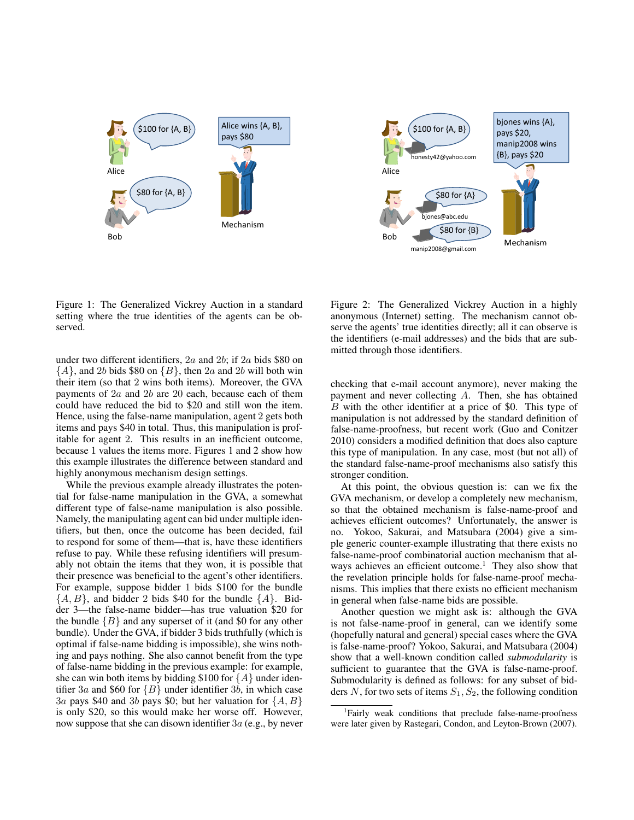



Figure 1: The Generalized Vickrey Auction in a standard setting where the true identities of the agents can be observed.

under two different identifiers, 2a and 2b; if 2a bids \$80 on  $\{A\}$ , and 2b bids \$80 on  $\{B\}$ , then 2a and 2b will both win their item (so that 2 wins both items). Moreover, the GVA payments of 2a and 2b are 20 each, because each of them could have reduced the bid to \$20 and still won the item. Hence, using the false-name manipulation, agent 2 gets both items and pays \$40 in total. Thus, this manipulation is profitable for agent 2. This results in an inefficient outcome, because 1 values the items more. Figures 1 and 2 show how this example illustrates the difference between standard and highly anonymous mechanism design settings.

While the previous example already illustrates the potential for false-name manipulation in the GVA, a somewhat different type of false-name manipulation is also possible. Namely, the manipulating agent can bid under multiple identifiers, but then, once the outcome has been decided, fail to respond for some of them—that is, have these identifiers refuse to pay. While these refusing identifiers will presumably not obtain the items that they won, it is possible that their presence was beneficial to the agent's other identifiers. For example, suppose bidder 1 bids \$100 for the bundle  $\{A, B\}$ , and bidder 2 bids \$40 for the bundle  $\{A\}$ . Bidder 3—the false-name bidder—has true valuation \$20 for the bundle  ${B}$  and any superset of it (and \$0 for any other bundle). Under the GVA, if bidder 3 bids truthfully (which is optimal if false-name bidding is impossible), she wins nothing and pays nothing. She also cannot benefit from the type of false-name bidding in the previous example: for example, she can win both items by bidding \$100 for  $\{A\}$  under identifier 3a and \$60 for  ${B}$  under identifier 3b, in which case 3a pays \$40 and 3b pays \$0; but her valuation for  $\{A, B\}$ is only \$20, so this would make her worse off. However, now suppose that she can disown identifier 3a (e.g., by never

Figure 2: The Generalized Vickrey Auction in a highly anonymous (Internet) setting. The mechanism cannot observe the agents' true identities directly; all it can observe is the identifiers (e-mail addresses) and the bids that are submitted through those identifiers.

checking that e-mail account anymore), never making the payment and never collecting A. Then, she has obtained B with the other identifier at a price of \$0. This type of manipulation is not addressed by the standard definition of false-name-proofness, but recent work (Guo and Conitzer 2010) considers a modified definition that does also capture this type of manipulation. In any case, most (but not all) of the standard false-name-proof mechanisms also satisfy this stronger condition.

At this point, the obvious question is: can we fix the GVA mechanism, or develop a completely new mechanism, so that the obtained mechanism is false-name-proof and achieves efficient outcomes? Unfortunately, the answer is no. Yokoo, Sakurai, and Matsubara (2004) give a simple generic counter-example illustrating that there exists no false-name-proof combinatorial auction mechanism that always achieves an efficient outcome.<sup>1</sup> They also show that the revelation principle holds for false-name-proof mechanisms. This implies that there exists no efficient mechanism in general when false-name bids are possible.

Another question we might ask is: although the GVA is not false-name-proof in general, can we identify some (hopefully natural and general) special cases where the GVA is false-name-proof? Yokoo, Sakurai, and Matsubara (2004) show that a well-known condition called *submodularity* is sufficient to guarantee that the GVA is false-name-proof. Submodularity is defined as follows: for any subset of bidders N, for two sets of items  $S_1, S_2$ , the following condition

<sup>&</sup>lt;sup>1</sup>Fairly weak conditions that preclude false-name-proofness were later given by Rastegari, Condon, and Leyton-Brown (2007).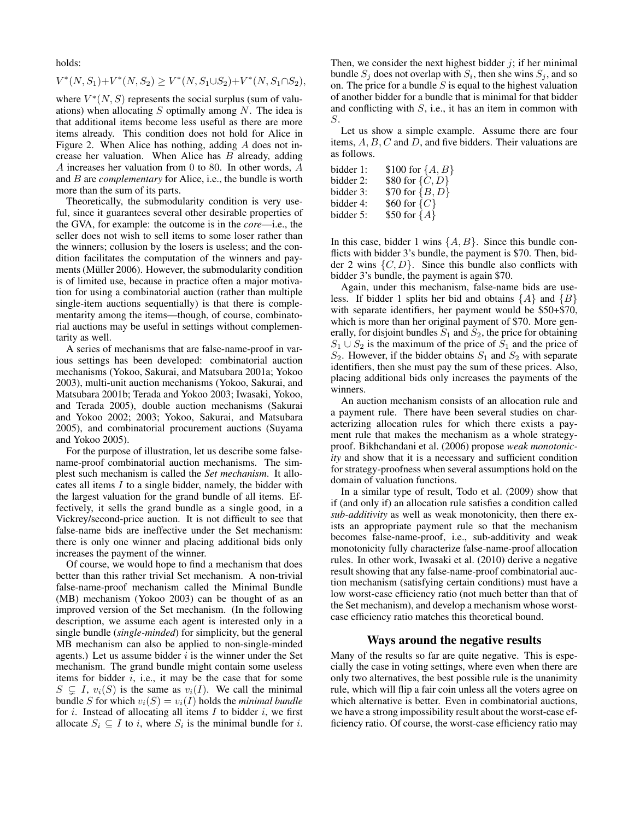holds:

$$
V^*(N, S_1) + V^*(N, S_2) \ge V^*(N, S_1 \cup S_2) + V^*(N, S_1 \cap S_2),
$$

where  $V^*(N, S)$  represents the social surplus (sum of valuations) when allocating  $S$  optimally among  $N$ . The idea is that additional items become less useful as there are more items already. This condition does not hold for Alice in Figure 2. When Alice has nothing, adding A does not increase her valuation. When Alice has  $B$  already, adding A increases her valuation from 0 to 80. In other words, A and B are *complementary* for Alice, i.e., the bundle is worth more than the sum of its parts.

Theoretically, the submodularity condition is very useful, since it guarantees several other desirable properties of the GVA, for example: the outcome is in the *core*—i.e., the seller does not wish to sell items to some loser rather than the winners; collusion by the losers is useless; and the condition facilitates the computation of the winners and payments (Müller 2006). However, the submodularity condition is of limited use, because in practice often a major motivation for using a combinatorial auction (rather than multiple single-item auctions sequentially) is that there is complementarity among the items—though, of course, combinatorial auctions may be useful in settings without complementarity as well.

A series of mechanisms that are false-name-proof in various settings has been developed: combinatorial auction mechanisms (Yokoo, Sakurai, and Matsubara 2001a; Yokoo 2003), multi-unit auction mechanisms (Yokoo, Sakurai, and Matsubara 2001b; Terada and Yokoo 2003; Iwasaki, Yokoo, and Terada 2005), double auction mechanisms (Sakurai and Yokoo 2002; 2003; Yokoo, Sakurai, and Matsubara 2005), and combinatorial procurement auctions (Suyama and Yokoo 2005).

For the purpose of illustration, let us describe some falsename-proof combinatorial auction mechanisms. The simplest such mechanism is called the *Set mechanism*. It allocates all items I to a single bidder, namely, the bidder with the largest valuation for the grand bundle of all items. Effectively, it sells the grand bundle as a single good, in a Vickrey/second-price auction. It is not difficult to see that false-name bids are ineffective under the Set mechanism: there is only one winner and placing additional bids only increases the payment of the winner.

Of course, we would hope to find a mechanism that does better than this rather trivial Set mechanism. A non-trivial false-name-proof mechanism called the Minimal Bundle (MB) mechanism (Yokoo 2003) can be thought of as an improved version of the Set mechanism. (In the following description, we assume each agent is interested only in a single bundle (*single-minded*) for simplicity, but the general MB mechanism can also be applied to non-single-minded agents.) Let us assume bidder  $i$  is the winner under the Set mechanism. The grand bundle might contain some useless items for bidder  $i$ , i.e., it may be the case that for some  $S \subseteq I$ ,  $v_i(S)$  is the same as  $v_i(I)$ . We call the minimal bundle S for which  $v_i(S) = v_i(I)$  holds the *minimal bundle* for  $i$ . Instead of allocating all items  $I$  to bidder  $i$ , we first allocate  $S_i \subseteq I$  to *i*, where  $S_i$  is the minimal bundle for *i*.

Then, we consider the next highest bidder  $j$ ; if her minimal bundle  $S_j$  does not overlap with  $S_i$ , then she wins  $S_j$ , and so on. The price for a bundle  $S$  is equal to the highest valuation of another bidder for a bundle that is minimal for that bidder and conflicting with  $S$ , i.e., it has an item in common with S.

Let us show a simple example. Assume there are four items,  $A, B, C$  and  $D$ , and five bidders. Their valuations are as follows.

| bidder 1: | \$100 for $\{A, B\}$ |
|-----------|----------------------|
| bidder 2: | \$80 for $\{C, D\}$  |
| bidder 3: | \$70 for $\{B, D\}$  |
| bidder 4: | \$60 for $\{C\}$     |
| bidder 5: | \$50 for ${A}$       |

In this case, bidder 1 wins  $\{A, B\}$ . Since this bundle conflicts with bidder 3's bundle, the payment is \$70. Then, bidder 2 wins  $\{C, D\}$ . Since this bundle also conflicts with bidder 3's bundle, the payment is again \$70.

Again, under this mechanism, false-name bids are useless. If bidder 1 splits her bid and obtains  $\{A\}$  and  $\{B\}$ with separate identifiers, her payment would be \$50+\$70, which is more than her original payment of \$70. More generally, for disjoint bundles  $S_1$  and  $S_2$ , the price for obtaining  $S_1 \cup S_2$  is the maximum of the price of  $S_1$  and the price of  $S_2$ . However, if the bidder obtains  $S_1$  and  $S_2$  with separate identifiers, then she must pay the sum of these prices. Also, placing additional bids only increases the payments of the winners.

An auction mechanism consists of an allocation rule and a payment rule. There have been several studies on characterizing allocation rules for which there exists a payment rule that makes the mechanism as a whole strategyproof. Bikhchandani et al. (2006) propose *weak monotonicity* and show that it is a necessary and sufficient condition for strategy-proofness when several assumptions hold on the domain of valuation functions.

In a similar type of result, Todo et al. (2009) show that if (and only if) an allocation rule satisfies a condition called *sub-additivity* as well as weak monotonicity, then there exists an appropriate payment rule so that the mechanism becomes false-name-proof, i.e., sub-additivity and weak monotonicity fully characterize false-name-proof allocation rules. In other work, Iwasaki et al. (2010) derive a negative result showing that any false-name-proof combinatorial auction mechanism (satisfying certain conditions) must have a low worst-case efficiency ratio (not much better than that of the Set mechanism), and develop a mechanism whose worstcase efficiency ratio matches this theoretical bound.

### Ways around the negative results

Many of the results so far are quite negative. This is especially the case in voting settings, where even when there are only two alternatives, the best possible rule is the unanimity rule, which will flip a fair coin unless all the voters agree on which alternative is better. Even in combinatorial auctions, we have a strong impossibility result about the worst-case efficiency ratio. Of course, the worst-case efficiency ratio may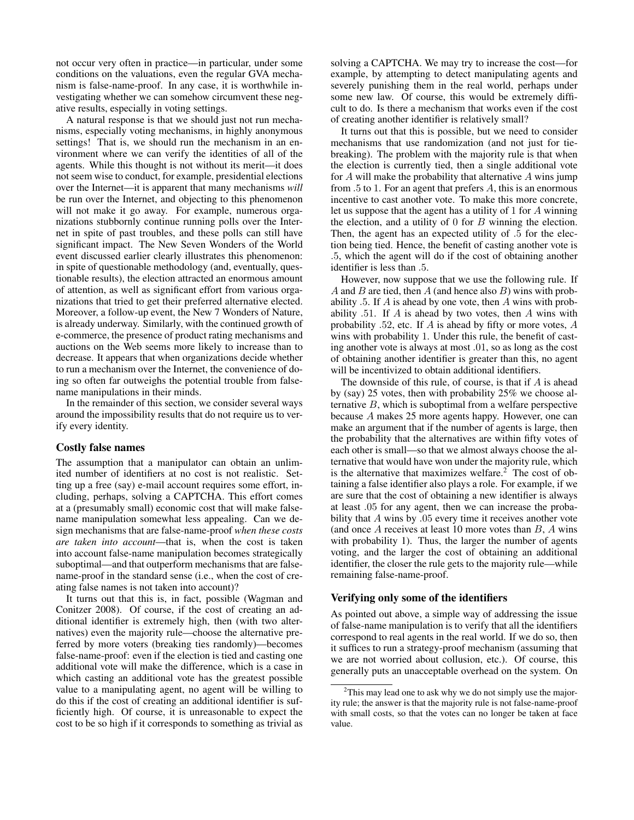not occur very often in practice—in particular, under some conditions on the valuations, even the regular GVA mechanism is false-name-proof. In any case, it is worthwhile investigating whether we can somehow circumvent these negative results, especially in voting settings.

A natural response is that we should just not run mechanisms, especially voting mechanisms, in highly anonymous settings! That is, we should run the mechanism in an environment where we can verify the identities of all of the agents. While this thought is not without its merit—it does not seem wise to conduct, for example, presidential elections over the Internet—it is apparent that many mechanisms *will* be run over the Internet, and objecting to this phenomenon will not make it go away. For example, numerous organizations stubbornly continue running polls over the Internet in spite of past troubles, and these polls can still have significant impact. The New Seven Wonders of the World event discussed earlier clearly illustrates this phenomenon: in spite of questionable methodology (and, eventually, questionable results), the election attracted an enormous amount of attention, as well as significant effort from various organizations that tried to get their preferred alternative elected. Moreover, a follow-up event, the New 7 Wonders of Nature, is already underway. Similarly, with the continued growth of e-commerce, the presence of product rating mechanisms and auctions on the Web seems more likely to increase than to decrease. It appears that when organizations decide whether to run a mechanism over the Internet, the convenience of doing so often far outweighs the potential trouble from falsename manipulations in their minds.

In the remainder of this section, we consider several ways around the impossibility results that do not require us to verify every identity.

### Costly false names

The assumption that a manipulator can obtain an unlimited number of identifiers at no cost is not realistic. Setting up a free (say) e-mail account requires some effort, including, perhaps, solving a CAPTCHA. This effort comes at a (presumably small) economic cost that will make falsename manipulation somewhat less appealing. Can we design mechanisms that are false-name-proof *when these costs are taken into account*—that is, when the cost is taken into account false-name manipulation becomes strategically suboptimal—and that outperform mechanisms that are falsename-proof in the standard sense (i.e., when the cost of creating false names is not taken into account)?

It turns out that this is, in fact, possible (Wagman and Conitzer 2008). Of course, if the cost of creating an additional identifier is extremely high, then (with two alternatives) even the majority rule—choose the alternative preferred by more voters (breaking ties randomly)—becomes false-name-proof: even if the election is tied and casting one additional vote will make the difference, which is a case in which casting an additional vote has the greatest possible value to a manipulating agent, no agent will be willing to do this if the cost of creating an additional identifier is sufficiently high. Of course, it is unreasonable to expect the cost to be so high if it corresponds to something as trivial as

solving a CAPTCHA. We may try to increase the cost—for example, by attempting to detect manipulating agents and severely punishing them in the real world, perhaps under some new law. Of course, this would be extremely difficult to do. Is there a mechanism that works even if the cost of creating another identifier is relatively small?

It turns out that this is possible, but we need to consider mechanisms that use randomization (and not just for tiebreaking). The problem with the majority rule is that when the election is currently tied, then a single additional vote for  $A$  will make the probability that alternative  $A$  wins jump from .5 to 1. For an agent that prefers A, this is an enormous incentive to cast another vote. To make this more concrete, let us suppose that the agent has a utility of 1 for A winning the election, and a utility of  $0$  for  $B$  winning the election. Then, the agent has an expected utility of .5 for the election being tied. Hence, the benefit of casting another vote is .5, which the agent will do if the cost of obtaining another identifier is less than .5.

However, now suppose that we use the following rule. If A and B are tied, then  $A$  (and hence also  $B$ ) wins with probability  $.5.$  If A is ahead by one vote, then A wins with probability  $.51$ . If A is ahead by two votes, then A wins with probability .52, etc. If A is ahead by fifty or more votes, A wins with probability 1. Under this rule, the benefit of casting another vote is always at most .01, so as long as the cost of obtaining another identifier is greater than this, no agent will be incentivized to obtain additional identifiers.

The downside of this rule, of course, is that if A is ahead by (say) 25 votes, then with probability 25% we choose alternative  $B$ , which is suboptimal from a welfare perspective because A makes 25 more agents happy. However, one can make an argument that if the number of agents is large, then the probability that the alternatives are within fifty votes of each other is small—so that we almost always choose the alternative that would have won under the majority rule, which is the alternative that maximizes welfare.<sup>2</sup> The cost of obtaining a false identifier also plays a role. For example, if we are sure that the cost of obtaining a new identifier is always at least .05 for any agent, then we can increase the probability that A wins by .05 every time it receives another vote (and once  $A$  receives at least 10 more votes than  $B$ ,  $A$  wins with probability 1). Thus, the larger the number of agents voting, and the larger the cost of obtaining an additional identifier, the closer the rule gets to the majority rule—while remaining false-name-proof.

## Verifying only some of the identifiers

As pointed out above, a simple way of addressing the issue of false-name manipulation is to verify that all the identifiers correspond to real agents in the real world. If we do so, then it suffices to run a strategy-proof mechanism (assuming that we are not worried about collusion, etc.). Of course, this generally puts an unacceptable overhead on the system. On

 $2$ This may lead one to ask why we do not simply use the majority rule; the answer is that the majority rule is not false-name-proof with small costs, so that the votes can no longer be taken at face value.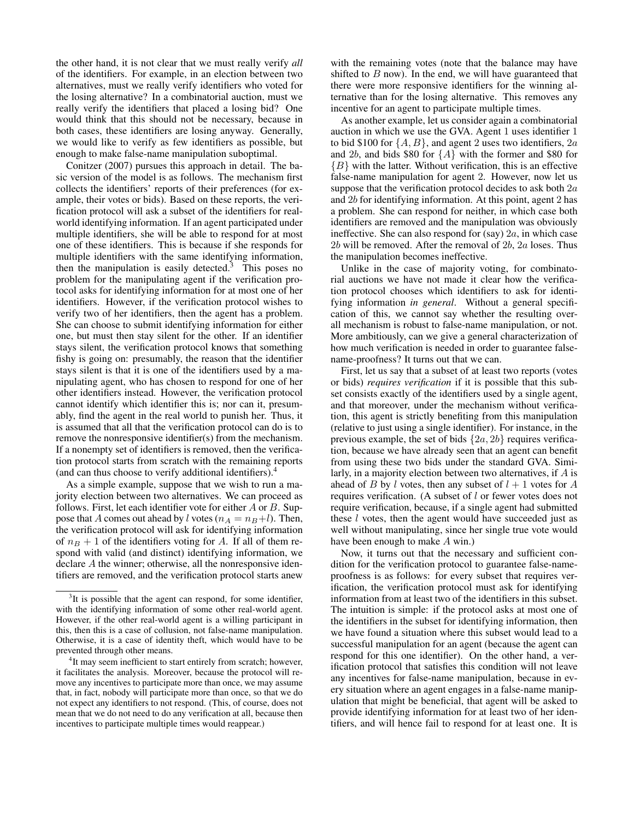the other hand, it is not clear that we must really verify *all* of the identifiers. For example, in an election between two alternatives, must we really verify identifiers who voted for the losing alternative? In a combinatorial auction, must we really verify the identifiers that placed a losing bid? One would think that this should not be necessary, because in both cases, these identifiers are losing anyway. Generally, we would like to verify as few identifiers as possible, but enough to make false-name manipulation suboptimal.

Conitzer (2007) pursues this approach in detail. The basic version of the model is as follows. The mechanism first collects the identifiers' reports of their preferences (for example, their votes or bids). Based on these reports, the verification protocol will ask a subset of the identifiers for realworld identifying information. If an agent participated under multiple identifiers, she will be able to respond for at most one of these identifiers. This is because if she responds for multiple identifiers with the same identifying information, then the manipulation is easily detected.<sup>3</sup> This poses no problem for the manipulating agent if the verification protocol asks for identifying information for at most one of her identifiers. However, if the verification protocol wishes to verify two of her identifiers, then the agent has a problem. She can choose to submit identifying information for either one, but must then stay silent for the other. If an identifier stays silent, the verification protocol knows that something fishy is going on: presumably, the reason that the identifier stays silent is that it is one of the identifiers used by a manipulating agent, who has chosen to respond for one of her other identifiers instead. However, the verification protocol cannot identify which identifier this is; nor can it, presumably, find the agent in the real world to punish her. Thus, it is assumed that all that the verification protocol can do is to remove the nonresponsive identifier(s) from the mechanism. If a nonempty set of identifiers is removed, then the verification protocol starts from scratch with the remaining reports (and can thus choose to verify additional identifiers).<sup>4</sup>

As a simple example, suppose that we wish to run a majority election between two alternatives. We can proceed as follows. First, let each identifier vote for either  $A$  or  $B$ . Suppose that A comes out ahead by l votes ( $n_A = n_B + l$ ). Then, the verification protocol will ask for identifying information of  $n_B + 1$  of the identifiers voting for A. If all of them respond with valid (and distinct) identifying information, we declare A the winner; otherwise, all the nonresponsive identifiers are removed, and the verification protocol starts anew

with the remaining votes (note that the balance may have shifted to  $B$  now). In the end, we will have guaranteed that there were more responsive identifiers for the winning alternative than for the losing alternative. This removes any incentive for an agent to participate multiple times.

As another example, let us consider again a combinatorial auction in which we use the GVA. Agent 1 uses identifier 1 to bid \$100 for  $\{A, B\}$ , and agent 2 uses two identifiers, 2a and 2b, and bids \$80 for  ${A}$  with the former and \$80 for  ${B}$  with the latter. Without verification, this is an effective false-name manipulation for agent 2. However, now let us suppose that the verification protocol decides to ask both 2a. and 2b for identifying information. At this point, agent 2 has a problem. She can respond for neither, in which case both identifiers are removed and the manipulation was obviously ineffective. She can also respond for (say)  $2a$ , in which case  $2b$  will be removed. After the removal of  $2b$ ,  $2a$  loses. Thus the manipulation becomes ineffective.

Unlike in the case of majority voting, for combinatorial auctions we have not made it clear how the verification protocol chooses which identifiers to ask for identifying information *in general*. Without a general specification of this, we cannot say whether the resulting overall mechanism is robust to false-name manipulation, or not. More ambitiously, can we give a general characterization of how much verification is needed in order to guarantee falsename-proofness? It turns out that we can.

First, let us say that a subset of at least two reports (votes or bids) *requires verification* if it is possible that this subset consists exactly of the identifiers used by a single agent, and that moreover, under the mechanism without verification, this agent is strictly benefiting from this manipulation (relative to just using a single identifier). For instance, in the previous example, the set of bids  $\{2a, 2b\}$  requires verification, because we have already seen that an agent can benefit from using these two bids under the standard GVA. Similarly, in a majority election between two alternatives, if A is ahead of B by l votes, then any subset of  $l + 1$  votes for A requires verification. (A subset of l or fewer votes does not require verification, because, if a single agent had submitted these  $l$  votes, then the agent would have succeeded just as well without manipulating, since her single true vote would have been enough to make A win.)

Now, it turns out that the necessary and sufficient condition for the verification protocol to guarantee false-nameproofness is as follows: for every subset that requires verification, the verification protocol must ask for identifying information from at least two of the identifiers in this subset. The intuition is simple: if the protocol asks at most one of the identifiers in the subset for identifying information, then we have found a situation where this subset would lead to a successful manipulation for an agent (because the agent can respond for this one identifier). On the other hand, a verification protocol that satisfies this condition will not leave any incentives for false-name manipulation, because in every situation where an agent engages in a false-name manipulation that might be beneficial, that agent will be asked to provide identifying information for at least two of her identifiers, and will hence fail to respond for at least one. It is

<sup>&</sup>lt;sup>3</sup>It is possible that the agent can respond, for some identifier, with the identifying information of some other real-world agent. However, if the other real-world agent is a willing participant in this, then this is a case of collusion, not false-name manipulation. Otherwise, it is a case of identity theft, which would have to be prevented through other means.

<sup>&</sup>lt;sup>4</sup>It may seem inefficient to start entirely from scratch; however, it facilitates the analysis. Moreover, because the protocol will remove any incentives to participate more than once, we may assume that, in fact, nobody will participate more than once, so that we do not expect any identifiers to not respond. (This, of course, does not mean that we do not need to do any verification at all, because then incentives to participate multiple times would reappear.)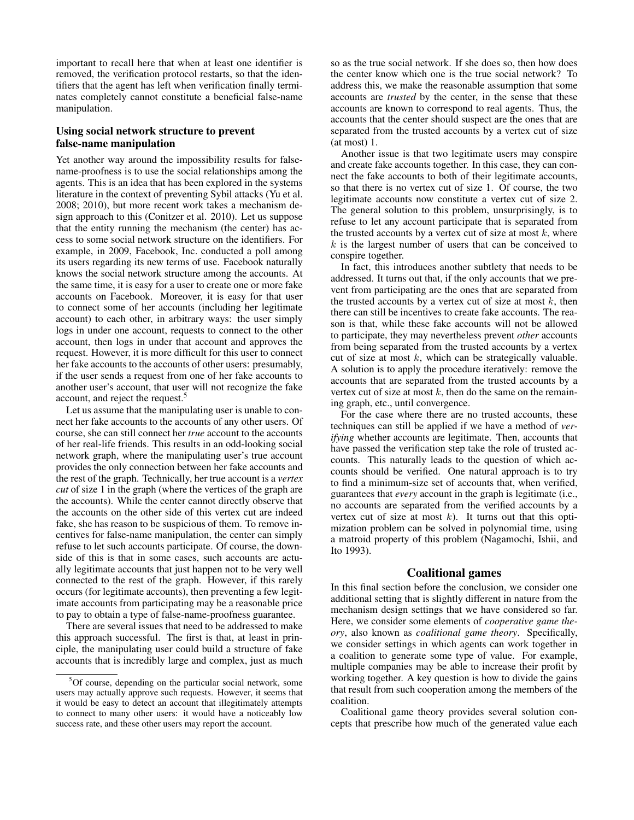important to recall here that when at least one identifier is removed, the verification protocol restarts, so that the identifiers that the agent has left when verification finally terminates completely cannot constitute a beneficial false-name manipulation.

## Using social network structure to prevent false-name manipulation

Yet another way around the impossibility results for falsename-proofness is to use the social relationships among the agents. This is an idea that has been explored in the systems literature in the context of preventing Sybil attacks (Yu et al. 2008; 2010), but more recent work takes a mechanism design approach to this (Conitzer et al. 2010). Let us suppose that the entity running the mechanism (the center) has access to some social network structure on the identifiers. For example, in 2009, Facebook, Inc. conducted a poll among its users regarding its new terms of use. Facebook naturally knows the social network structure among the accounts. At the same time, it is easy for a user to create one or more fake accounts on Facebook. Moreover, it is easy for that user to connect some of her accounts (including her legitimate account) to each other, in arbitrary ways: the user simply logs in under one account, requests to connect to the other account, then logs in under that account and approves the request. However, it is more difficult for this user to connect her fake accounts to the accounts of other users: presumably, if the user sends a request from one of her fake accounts to another user's account, that user will not recognize the fake account, and reject the request.<sup>5</sup>

Let us assume that the manipulating user is unable to connect her fake accounts to the accounts of any other users. Of course, she can still connect her *true* account to the accounts of her real-life friends. This results in an odd-looking social network graph, where the manipulating user's true account provides the only connection between her fake accounts and the rest of the graph. Technically, her true account is a *vertex cut* of size 1 in the graph (where the vertices of the graph are the accounts). While the center cannot directly observe that the accounts on the other side of this vertex cut are indeed fake, she has reason to be suspicious of them. To remove incentives for false-name manipulation, the center can simply refuse to let such accounts participate. Of course, the downside of this is that in some cases, such accounts are actually legitimate accounts that just happen not to be very well connected to the rest of the graph. However, if this rarely occurs (for legitimate accounts), then preventing a few legitimate accounts from participating may be a reasonable price to pay to obtain a type of false-name-proofness guarantee.

There are several issues that need to be addressed to make this approach successful. The first is that, at least in principle, the manipulating user could build a structure of fake accounts that is incredibly large and complex, just as much

so as the true social network. If she does so, then how does the center know which one is the true social network? To address this, we make the reasonable assumption that some accounts are *trusted* by the center, in the sense that these accounts are known to correspond to real agents. Thus, the accounts that the center should suspect are the ones that are separated from the trusted accounts by a vertex cut of size (at most) 1.

Another issue is that two legitimate users may conspire and create fake accounts together. In this case, they can connect the fake accounts to both of their legitimate accounts, so that there is no vertex cut of size 1. Of course, the two legitimate accounts now constitute a vertex cut of size 2. The general solution to this problem, unsurprisingly, is to refuse to let any account participate that is separated from the trusted accounts by a vertex cut of size at most  $k$ , where  $k$  is the largest number of users that can be conceived to conspire together.

In fact, this introduces another subtlety that needs to be addressed. It turns out that, if the only accounts that we prevent from participating are the ones that are separated from the trusted accounts by a vertex cut of size at most  $k$ , then there can still be incentives to create fake accounts. The reason is that, while these fake accounts will not be allowed to participate, they may nevertheless prevent *other* accounts from being separated from the trusted accounts by a vertex cut of size at most  $k$ , which can be strategically valuable. A solution is to apply the procedure iteratively: remove the accounts that are separated from the trusted accounts by a vertex cut of size at most  $k$ , then do the same on the remaining graph, etc., until convergence.

For the case where there are no trusted accounts, these techniques can still be applied if we have a method of *verifying* whether accounts are legitimate. Then, accounts that have passed the verification step take the role of trusted accounts. This naturally leads to the question of which accounts should be verified. One natural approach is to try to find a minimum-size set of accounts that, when verified, guarantees that *every* account in the graph is legitimate (i.e., no accounts are separated from the verified accounts by a vertex cut of size at most  $k$ ). It turns out that this optimization problem can be solved in polynomial time, using a matroid property of this problem (Nagamochi, Ishii, and Ito 1993).

## Coalitional games

In this final section before the conclusion, we consider one additional setting that is slightly different in nature from the mechanism design settings that we have considered so far. Here, we consider some elements of *cooperative game theory*, also known as *coalitional game theory*. Specifically, we consider settings in which agents can work together in a coalition to generate some type of value. For example, multiple companies may be able to increase their profit by working together. A key question is how to divide the gains that result from such cooperation among the members of the coalition.

Coalitional game theory provides several solution concepts that prescribe how much of the generated value each

<sup>5</sup>Of course, depending on the particular social network, some users may actually approve such requests. However, it seems that it would be easy to detect an account that illegitimately attempts to connect to many other users: it would have a noticeably low success rate, and these other users may report the account.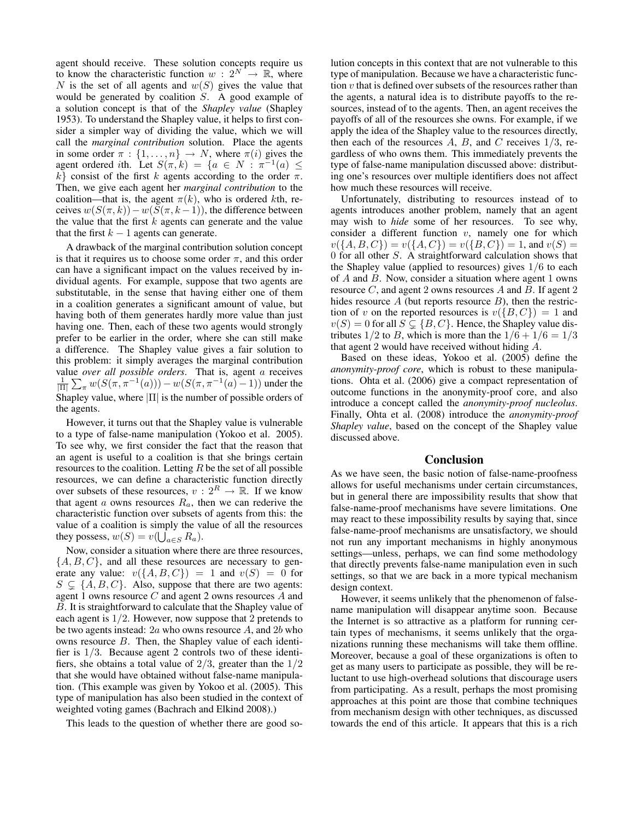agent should receive. These solution concepts require us to know the characteristic function  $w: 2^N \rightarrow \mathbb{R}$ , where N is the set of all agents and  $w(S)$  gives the value that would be generated by coalition  $S$ . A good example of a solution concept is that of the *Shapley value* (Shapley 1953). To understand the Shapley value, it helps to first consider a simpler way of dividing the value, which we will call the *marginal contribution* solution. Place the agents in some order  $\pi : \{1, \ldots, n\} \rightarrow N$ , where  $\pi(i)$  gives the agent ordered *i*th. Let  $S(\pi, k) = \{a \in N : \pi^{-1}(a) \leq$ k} consist of the first k agents according to the order  $\pi$ . Then, we give each agent her *marginal contribution* to the coalition—that is, the agent  $\pi(k)$ , who is ordered kth, receives  $w(S(\pi, k)) - w(S(\pi, k - 1))$ , the difference between the value that the first  $k$  agents can generate and the value that the first  $k - 1$  agents can generate.

A drawback of the marginal contribution solution concept is that it requires us to choose some order  $\pi$ , and this order can have a significant impact on the values received by individual agents. For example, suppose that two agents are substitutable, in the sense that having either one of them in a coalition generates a significant amount of value, but having both of them generates hardly more value than just having one. Then, each of these two agents would strongly prefer to be earlier in the order, where she can still make a difference. The Shapley value gives a fair solution to this problem: it simply averages the marginal contribution value *over all possible orders*. That is, agent a receives  $\frac{1}{\vert \Pi \vert} \sum_{\pi} w(S(\pi, \pi^{-1}(a))) - w(S(\pi, \pi^{-1}(a) - 1))$  under the Shapley value, where |Π| is the number of possible orders of the agents.

However, it turns out that the Shapley value is vulnerable to a type of false-name manipulation (Yokoo et al. 2005). To see why, we first consider the fact that the reason that an agent is useful to a coalition is that she brings certain resources to the coalition. Letting  $R$  be the set of all possible resources, we can define a characteristic function directly over subsets of these resources,  $v: 2^R \to \mathbb{R}$ . If we know that agent a owns resources  $R_a$ , then we can rederive the characteristic function over subsets of agents from this: the value of a coalition is simply the value of all the resources they possess,  $w(S) = v(\bigcup_{a \in S} R_a)$ .

Now, consider a situation where there are three resources,  $\{A, B, C\}$ , and all these resources are necessary to generate any value:  $v({A, B, C}) = 1$  and  $v(S) = 0$  for  $S \subsetneq \{A, B, C\}$ . Also, suppose that there are two agents: agent 1 owns resource C and agent 2 owns resources A and B. It is straightforward to calculate that the Shapley value of each agent is  $1/2$ . However, now suppose that 2 pretends to be two agents instead:  $2a$  who owns resource A, and  $2b$  who owns resource B. Then, the Shapley value of each identifier is 1/3. Because agent 2 controls two of these identifiers, she obtains a total value of  $2/3$ , greater than the  $1/2$ that she would have obtained without false-name manipulation. (This example was given by Yokoo et al. (2005). This type of manipulation has also been studied in the context of weighted voting games (Bachrach and Elkind 2008).)

This leads to the question of whether there are good so-

lution concepts in this context that are not vulnerable to this type of manipulation. Because we have a characteristic function  $v$  that is defined over subsets of the resources rather than the agents, a natural idea is to distribute payoffs to the resources, instead of to the agents. Then, an agent receives the payoffs of all of the resources she owns. For example, if we apply the idea of the Shapley value to the resources directly, then each of the resources  $A$ ,  $B$ , and  $C$  receives  $1/3$ , regardless of who owns them. This immediately prevents the type of false-name manipulation discussed above: distributing one's resources over multiple identifiers does not affect how much these resources will receive.

Unfortunately, distributing to resources instead of to agents introduces another problem, namely that an agent may wish to *hide* some of her resources. To see why, consider a different function  $v$ , namely one for which  $v({A, B, C}) = v({A, C}) = v({B, C}) = 1$ , and  $v(S) =$ 0 for all other S. A straightforward calculation shows that the Shapley value (applied to resources) gives 1/6 to each of A and B. Now, consider a situation where agent 1 owns resource C, and agent 2 owns resources A and B. If agent 2 hides resource  $A$  (but reports resource  $B$ ), then the restriction of v on the reported resources is  $v({B, C}) = 1$  and  $v(S) = 0$  for all  $S \subsetneq \{B, C\}$ . Hence, the Shapley value distributes  $1/2$  to B, which is more than the  $1/6 + 1/6 = 1/3$ that agent 2 would have received without hiding A.

Based on these ideas, Yokoo et al. (2005) define the *anonymity-proof core*, which is robust to these manipulations. Ohta et al. (2006) give a compact representation of outcome functions in the anonymity-proof core, and also introduce a concept called the *anonymity-proof nucleolus*. Finally, Ohta et al. (2008) introduce the *anonymity-proof Shapley value*, based on the concept of the Shapley value discussed above.

### Conclusion

As we have seen, the basic notion of false-name-proofness allows for useful mechanisms under certain circumstances, but in general there are impossibility results that show that false-name-proof mechanisms have severe limitations. One may react to these impossibility results by saying that, since false-name-proof mechanisms are unsatisfactory, we should not run any important mechanisms in highly anonymous settings—unless, perhaps, we can find some methodology that directly prevents false-name manipulation even in such settings, so that we are back in a more typical mechanism design context.

However, it seems unlikely that the phenomenon of falsename manipulation will disappear anytime soon. Because the Internet is so attractive as a platform for running certain types of mechanisms, it seems unlikely that the organizations running these mechanisms will take them offline. Moreover, because a goal of these organizations is often to get as many users to participate as possible, they will be reluctant to use high-overhead solutions that discourage users from participating. As a result, perhaps the most promising approaches at this point are those that combine techniques from mechanism design with other techniques, as discussed towards the end of this article. It appears that this is a rich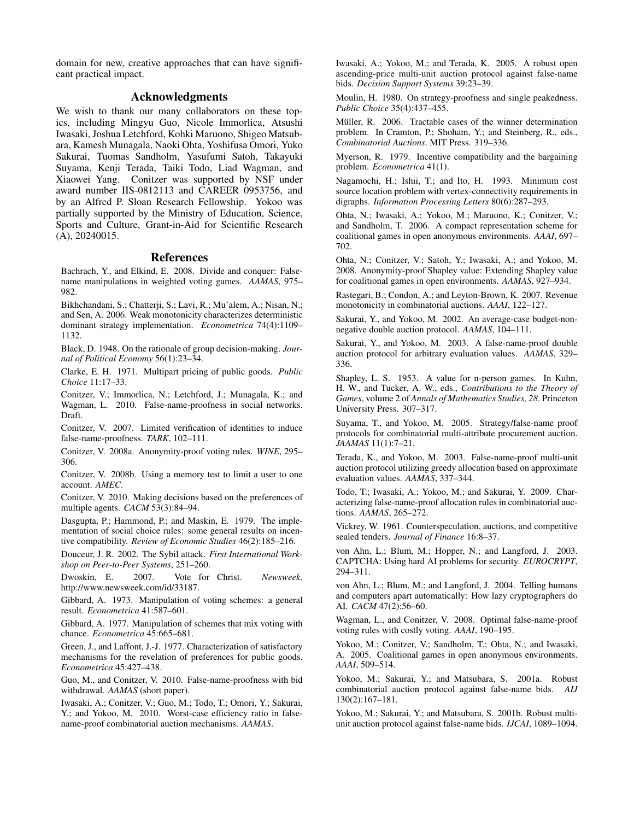domain for new, creative approaches that can have significant practical impact.

## Acknowledgments

We wish to thank our many collaborators on these topics, including Mingyu Guo, Nicole Immorlica, Atsushi Iwasaki, Joshua Letchford, Kohki Maruono, Shigeo Matsubara, Kamesh Munagala, Naoki Ohta, Yoshifusa Omori, Yuko Sakurai, Tuomas Sandholm, Yasufumi Satoh, Takayuki Suyama, Kenji Terada, Taiki Todo, Liad Wagman, and Xiaowei Yang. Conitzer was supported by NSF under award number IIS-0812113 and CAREER 0953756, and by an Alfred P. Sloan Research Fellowship. Yokoo was partially supported by the Ministry of Education, Science, Sports and Culture, Grant-in-Aid for Scientific Research (A), 20240015.

## References

Bachrach, Y., and Elkind, E. 2008. Divide and conquer: Falsename manipulations in weighted voting games. *AAMAS*, 975– 982.

Bikhchandani, S.; Chatterji, S.; Lavi, R.; Mu'alem, A.; Nisan, N.; and Sen, A. 2006. Weak monotonicity characterizes deterministic dominant strategy implementation. *Econometrica* 74(4):1109– 1132.

Black, D. 1948. On the rationale of group decision-making. *Journal of Political Economy* 56(1):23–34.

Clarke, E. H. 1971. Multipart pricing of public goods. *Public Choice* 11:17–33.

Conitzer, V.; Immorlica, N.; Letchford, J.; Munagala, K.; and Wagman, L. 2010. False-name-proofness in social networks. Draft.

Conitzer, V. 2007. Limited verification of identities to induce false-name-proofness. *TARK*, 102–111.

Conitzer, V. 2008a. Anonymity-proof voting rules. *WINE*, 295– 306.

Conitzer, V. 2008b. Using a memory test to limit a user to one account. *AMEC*.

Conitzer, V. 2010. Making decisions based on the preferences of multiple agents. *CACM* 53(3):84–94.

Dasgupta, P.; Hammond, P.; and Maskin, E. 1979. The implementation of social choice rules: some general results on incentive compatibility. *Review of Economic Studies* 46(2):185–216.

Douceur, J. R. 2002. The Sybil attack. *First International Workshop on Peer-to-Peer Systems*, 251–260.

Dwoskin, E. 2007. Vote for Christ. *Newsweek*. http://www.newsweek.com/id/33187.

Gibbard, A. 1973. Manipulation of voting schemes: a general result. *Econometrica* 41:587–601.

Gibbard, A. 1977. Manipulation of schemes that mix voting with chance. *Econometrica* 45:665–681.

Green, J., and Laffont, J.-J. 1977. Characterization of satisfactory mechanisms for the revelation of preferences for public goods. *Econometrica* 45:427–438.

Guo, M., and Conitzer, V. 2010. False-name-proofness with bid withdrawal. *AAMAS* (short paper).

Iwasaki, A.; Conitzer, V.; Guo, M.; Todo, T.; Omori, Y.; Sakurai, Y.; and Yokoo, M. 2010. Worst-case efficiency ratio in falsename-proof combinatorial auction mechanisms. *AAMAS*.

Iwasaki, A.; Yokoo, M.; and Terada, K. 2005. A robust open ascending-price multi-unit auction protocol against false-name bids. *Decision Support Systems* 39:23–39.

Moulin, H. 1980. On strategy-proofness and single peakedness. *Public Choice* 35(4):437–455.

Müller, R. 2006. Tractable cases of the winner determination problem. In Cramton, P.; Shoham, Y.; and Steinberg, R., eds., *Combinatorial Auctions*. MIT Press. 319–336.

Myerson, R. 1979. Incentive compatibility and the bargaining problem. *Econometrica* 41(1).

Nagamochi, H.; Ishii, T.; and Ito, H. 1993. Minimum cost source location problem with vertex-connectivity requirements in digraphs. *Information Processing Letters* 80(6):287–293.

Ohta, N.; Iwasaki, A.; Yokoo, M.; Maruono, K.; Conitzer, V.; and Sandholm, T. 2006. A compact representation scheme for coalitional games in open anonymous environments. *AAAI*, 697– 702.

Ohta, N.; Conitzer, V.; Satoh, Y.; Iwasaki, A.; and Yokoo, M. 2008. Anonymity-proof Shapley value: Extending Shapley value for coalitional games in open environments. *AAMAS*, 927–934.

Rastegari, B.; Condon, A.; and Leyton-Brown, K. 2007. Revenue monotonicity in combinatorial auctions. *AAAI*, 122–127.

Sakurai, Y., and Yokoo, M. 2002. An average-case budget-nonnegative double auction protocol. *AAMAS*, 104–111.

Sakurai, Y., and Yokoo, M. 2003. A false-name-proof double auction protocol for arbitrary evaluation values. *AAMAS*, 329– 336.

Shapley, L. S. 1953. A value for n-person games. In Kuhn, H. W., and Tucker, A. W., eds., *Contributions to the Theory of Games*, volume 2 of *Annals of Mathematics Studies, 28*. Princeton University Press. 307–317.

Suyama, T., and Yokoo, M. 2005. Strategy/false-name proof protocols for combinatorial multi-attribute procurement auction. *JAAMAS* 11(1):7–21.

Terada, K., and Yokoo, M. 2003. False-name-proof multi-unit auction protocol utilizing greedy allocation based on approximate evaluation values. *AAMAS*, 337–344.

Todo, T.; Iwasaki, A.; Yokoo, M.; and Sakurai, Y. 2009. Characterizing false-name-proof allocation rules in combinatorial auctions. *AAMAS*, 265–272.

Vickrey, W. 1961. Counterspeculation, auctions, and competitive sealed tenders. *Journal of Finance* 16:8–37.

von Ahn, L.; Blum, M.; Hopper, N.; and Langford, J. 2003. CAPTCHA: Using hard AI problems for security. *EUROCRYPT*, 294–311.

von Ahn, L.; Blum, M.; and Langford, J. 2004. Telling humans and computers apart automatically: How lazy cryptographers do AI. *CACM* 47(2):56–60.

Wagman, L., and Conitzer, V. 2008. Optimal false-name-proof voting rules with costly voting. *AAAI*, 190–195.

Yokoo, M.; Conitzer, V.; Sandholm, T.; Ohta, N.; and Iwasaki, A. 2005. Coalitional games in open anonymous environments. *AAAI*, 509–514.

Yokoo, M.; Sakurai, Y.; and Matsubara, S. 2001a. Robust combinatorial auction protocol against false-name bids. *AIJ* 130(2):167–181.

Yokoo, M.; Sakurai, Y.; and Matsubara, S. 2001b. Robust multiunit auction protocol against false-name bids. *IJCAI*, 1089–1094.